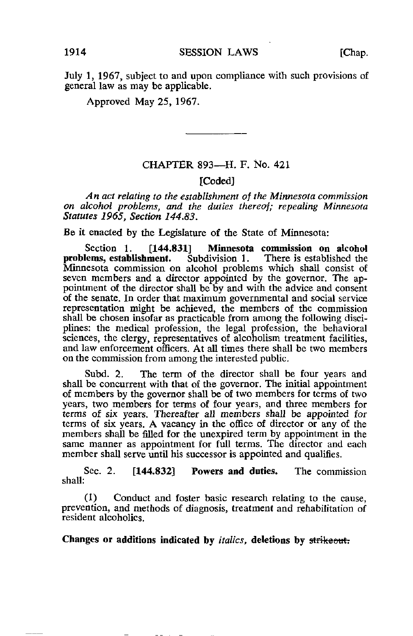July 1, 1967, subject to and upon compliance with such provisions of general law as may be applicable.

Approved May 25, 1967.

## CHAPTER 893—H. F. No. 421

## [Coded]

An act relating to the establishment of the Minnesota commission on alcohol problems, and the duties thereof; repealing Minnesota Statutes 1965, Section 144.83.

Be it enacted by the Legislature of the State of Minnesota:

Section 1. [144.831] Minnesota commission on alcohol<br>lems, establishment. Subdivision 1. There is established the problems, establishment. Minnesota commission on alcohol problems which shall consist of seven members and a director appointed by the governor. The appointment of the director shall be by and with the advice and consent of the senate. In order that maximum governmental and social service representation might be achieved, the members of the commission shall be chosen insofar as practicable from among the following disciplines: the medical profession, the legal profession, the behavioral sciences, the clergy, representatives of alcoholism treatment facilities, and law enforcement officers. At all times there shall be two members on the commission from among the interested public.

Subd. 2. The term of the director shall be four years and shall be concurrent with that of the governor. The initial appointment of members by the governor shall be of two members for terms of two years, two members for terms of four years, and three members for terms of six years. Thereafter all members shall be appointed for terms of six years. A vacancy in the office of director or any of the members shall be filled for the unexpired term by appointment in the same manner as appointment for full terms. The director and each member shall serve until his successor is appointed and qualifies.

Sec. 2. [144.832] Powers and duties. The commission shall:

(1) Conduct and foster basic research relating to the cause, prevention, and methods of diagnosis, treatment and rehabilitation of resident alcoholics.

Changes or additions indicated by *italics*, deletions by strikeout.